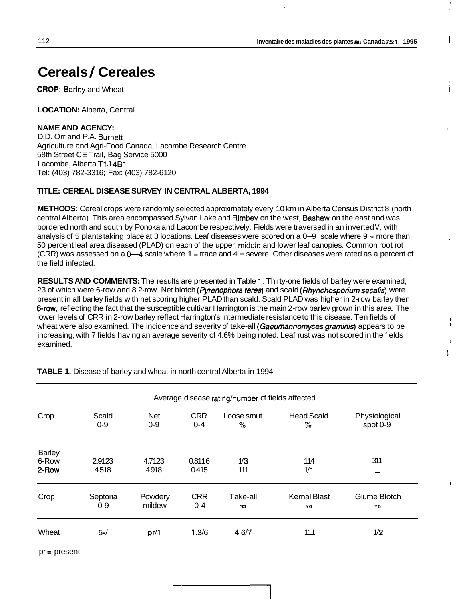1

I

I  $T$  :

 $\frac{1}{9}$  (

# **Cereals** / **Cereales**

**CROP: Barley and Wheat** 

**LOCATION:** Alberta, Central

### **NAME AND AGENCY:**

D.D. Orr and P.A. Burnett Agriculture and Agri-Food Canada, Lacombe Research Centre 58th Street CE Trail, Bag Service 5000 Lacombe, Alberta T<sub>1</sub>J<sub>4B1</sub> Tel: (403) 782-3316; Fax: (403) 782-6120

#### **TITLE: CEREAL DISEASE SURVEY IN CENTRAL ALBERTA, 1994**

**METHODS:** Cereal crops were randomly selected approximately every 10 km in Alberta Census District 8 (north central Alberta). This area encompassed Sylvan Lake and Rimbey on the west, Bashaw on the east and was bordered north and south by Ponoka and Lacombe respectively. Fields were traversed in an inverted V, with central Alberta). This area encompassed Sylvan Lake and Himbey on the west, **Bashaw** on the east and was<br>bordered north and south by Ponoka and Lacombe respectively. Fields were traversed in an inverted V, with<br>analysis of 50 percent leaf area diseased (PLAD) on each of the upper, middle and lower leaf canopies. Common root rot (CRR) was assessed on a **04** scale where 1 = trace and 4 = severe. Other diseases were rated as a percent of the field infected.

**RESULTS AND COMMENTS:** The results are presented in Table 1. Thirty-one fields of barley were examined, 23 of which were 6-row and 8 2-row. Net blotch *(Pyrenophora teres)* and scald *(Rhynchosporium secalis)* were present in all barley fields with net scoring higher PLAD than scald. Scald PLAD was higher in 2-row barley then 6-r0w, reflecting the fact that the susceptible cultivar Harrington is the main 2-row barley grown in this area. The lower levels of CRR in 2-row barley reflect Harrington's intermediate resistance to this disease. Ten fields of wheat were also examined. The incidence and severity of take-all *(Gaeumannomyces graminis)* appears to be increasing, with 7 fields having an average severity of 4.6% being noted. Leaf rust was not scored in the fields examined.

|               | Average disease rating/number of fields affected |            |            |            |                     |               |  |  |  |
|---------------|--------------------------------------------------|------------|------------|------------|---------------------|---------------|--|--|--|
| Crop          | Scald                                            | <b>Net</b> | <b>CRR</b> | Loose smut | <b>Head Scald</b>   | Physiological |  |  |  |
|               | $0-9$                                            | $0-9$      | $0 - 4$    | $\%$       | %                   | spot 0-9      |  |  |  |
| <b>Barley</b> |                                                  |            |            |            |                     |               |  |  |  |
| 6-Row         | 2.9123                                           | 4.7123     | 0.8116     | 1/3        | 114                 | 311           |  |  |  |
| 2-Row         | 4.518                                            | 4.918      | 0.415      | 111        | 1/1                 |               |  |  |  |
| Crop          | Septoria                                         | Powdery    | <b>CRR</b> | Take-all   | <b>Kernal Blast</b> | Glume Blotch  |  |  |  |
|               | $0-9$                                            | mildew     | $0 - 4$    | Y.         | YO                  | YO            |  |  |  |
| Wheat         | $5-$ /                                           | pr/1       | 1.3/6      | 4.6/7      | 111                 | 1/2           |  |  |  |

**TABLE 1.** Disease of barley and wheat in north central Alberta in 1994.

pr = present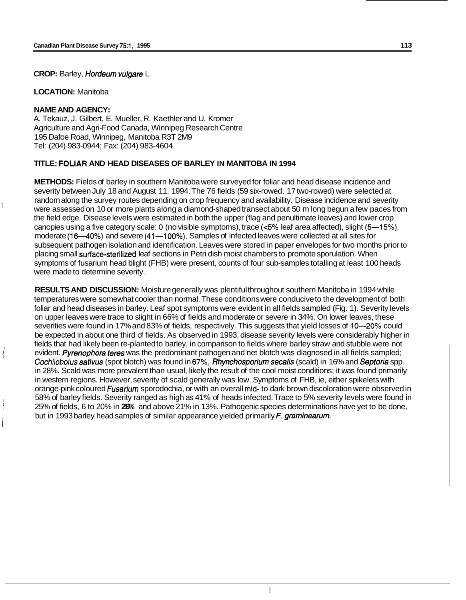**CROP:** Barley, *Hordeum vu/gare* L.

**LOCATION:** Manitoba

#### **NAME AND AGENCY:**

\ *i* 

*II* 

i

I

A. Tekauz, J. Gilbert, E. Mueller, R. Kaethler and U. Kromer Agriculture and Agri-Food Canada, Winnipeg Research Centre 195 Dafoe Road, Winnipeg, Manitoba R3T 2M9 Tel: (204) 983-0944; Fax: (204) 983-4604

# **TITLE: FOLIAR AND HEAD DISEASES OF BARLEY IN MANITOBA IN 1994**

**METHODS:** Fields of barley in southern Manitoba were surveyed for foliar and head disease incidence and severity between July 18 and August 11, 1994. The 76 fields (59 six-rowed, 17 two-rowed) were selected at were assessed on 10 or more plants along a diamond-shaped transect about 50 m long begun a few paces from the field edge. Disease levels were estimated in both the upper (flag and penultimate leaves) and lower crop canopies using a five category scale: 0 (no visible symptoms), trace **(~5%** leaf area affected), slight (5-15%), moderate (16—40%) and severe (41--100%). Samples of infected leaves were collected at all sites for subsequent pathogen isolation and identification. Leaves were stored in paper envelopes for two months prior to placing small surface-sterilized leaf sections in Petri dish moist chambers to promote sporulation. When symptoms of fusarium head blight (FHB) were present, counts of four sub-samples totalling at least 100 heads were made to determine severity. random along the survey routes depending on crop frequency and availability. Disease incidence and severity

**RESULTS AND DISCUSSION:** Moisture generally was plentiful throughout southern Manitoba in 1994 while temperatures were somewhat cooler than normal. These conditions were conducive to the development of both foliar and head diseases in barley. Leaf spot symptoms were evident in all fields sampled (Fig. 1). Severity levels on upper leaves were trace to slight in 66% of fields and moderate or severe in 34%. On lower leaves, these severities were found in 17% and 83% of fields, respectively. This suggests that yield losses of 10--20% could be expected in about one third of fields. As observed in 1993, disease severity levels were considerably higher in fields that had likely been re-planted to barley, in comparison to fields where barley straw and stubble were not evident. *Pyrenophora feres* was the predominant pathogen and net blotch was diagnosed in all fields sampled; Cochliobolus **sativus** (spot blotch) was found in 67%, *Rhynchosporium secalis* (scald) in 16% and *Septoria* spp. in 28%. Scald was more prevalent than usual, likely the result of the cool moist conditions; it was found primarily in western regions. However, severity of scald generally was low. Symptoms of FHB, ie, either spikelets with orange-pink coloured *Fusariurn* sporodochia, or with an overall mid- to dark brown discoloration were observed in 25% of fields, 6 to 20% in **20%** and above 21% in 13%. Pathogenic species determinations have yet to be done, 58% of barley fields. Severity ranged as high as 41% of heads infected. Trace to 5% severity levels were found in but in 1993 barley head samples of similar appearance yielded primarily *F. graminearurn.*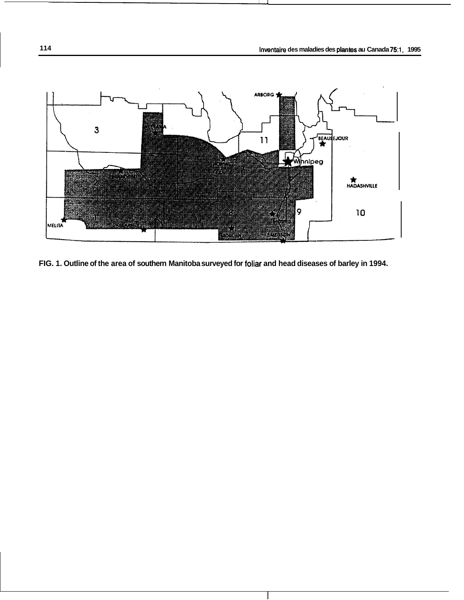

**FIG. 1. Outline of the area of southern Manitoba surveyed for foliar and head diseases of barley in 1994.**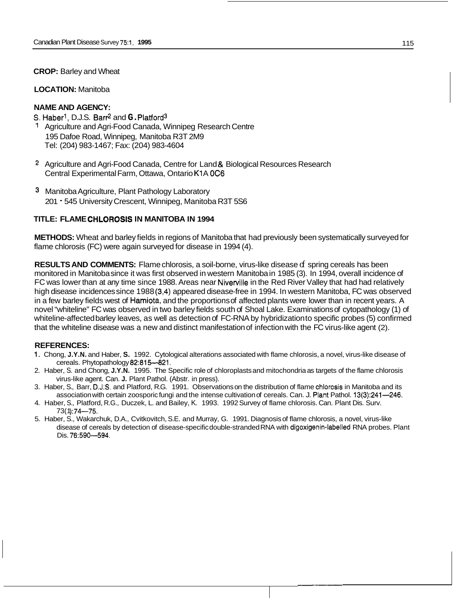**CROP:** Barley and Wheat

#### **LOCATION:** Manitoba

# **NAME AND AGENCY:**

*S.* Haberl, D.J.S. Barr2 and **G.** Platford3

- 1 Agriculture and Agri-Food Canada, Winnipeg Research Centre 195 Dafoe Road, Winnipeg, Manitoba R3T 2M9 Tel: (204) 983-1467; Fax: (204) 983-4604
- 2 Agriculture and Agri-Food Canada, Centre for Land & Biological Resources Research Central Experimental Farm, Ottawa, Ontario K1A 0C6
- **3** Manitoba Agriculture, Plant Pathology Laboratory 201 - 545 University Crescent, Winnipeg, Manitoba R3T 5S6

# **TITLE: FLAME CHLOROSIS IN MANITOBA IN 1994**

**METHODS:** Wheat and barley fields in regions of Manitoba that had previously been systematically surveyed for flame chlorosis (FC) were again surveyed for disease in 1994 (4).

**RESULTS AND COMMENTS:** Flame chlorosis, a soil-borne, virus-like disease of spring cereals has been monitored in Manitoba since it was first observed in western Manitoba in 1985 (3). In 1994, overall incidence of FC was lower than at any time since 1988. Areas near Niverville in the Red River Valley that had had relatively high disease incidences since 1988 (3,4) appeared disease-free in 1994. In western Manitoba, FC was observed in a few barley fields west of Hamiota, and the proportions of affected plants were lower than in recent years. A novel "whiteline" FC was observed in two barley fields south of Shoal Lake. Examinations of cytopathology (1) of whiteline-affected barley leaves, as well as detection of FC-RNA by hybridization to specific probes (5) confirmed that the whiteline disease was a new and distinct manifestation of infection with the FC virus-like agent (2).

## **REFERENCES:**

- 1. Chong, **J.Y.N.** and Haber, **S.** 1992. Cytological alterations associated with flame chlorosis, a novel, virus-like disease of cereals. Phytopathology 82:815-821.
- 2. Haber, S. and Chong, **J.Y.N.** 1995. The Specific role of chloroplasts and mitochondria as targets of the flame chlorosis virus-like agent. Can. **J.** Plant Pathol. (Abstr. in press).
- 3. Haber, S., Barr, D.J:S. and Platford, R.G. 1991. Observations on the distribution of flame chlorosis in Manitoba and its association with certain zoosporic fungi and the intense cultivation of cereals. Can. J. Plant Pathol. 13(3):241—246.
- 4. Haber, S., Platford, R.G., Duczek, L. and Bailey, K. 1993. 1992 Survey of flame chlorosis. Can. Plant Dis. Surv.  $73(1)$ :74-75.
- 5. Haber, S., Wakarchuk, D.A., Cvitkovitch, S.E. and Murray, G. 1991. Diagnosis of flame chlorosis, a novel, virus-like disease of cereals by detection of disease-specific double-stranded RNA with digoxigenin-labelled RNA probes. Plant Dis. 76:590-594.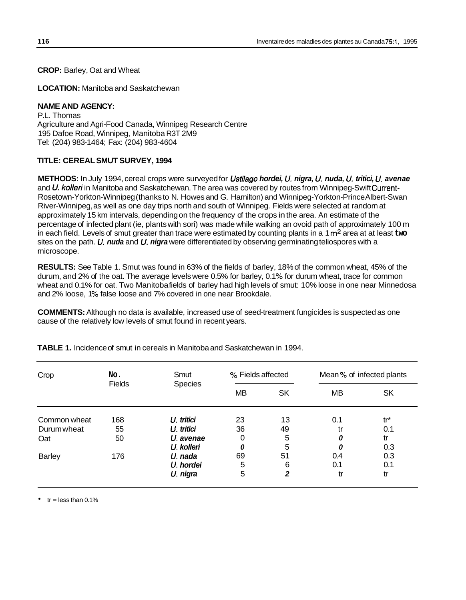**CROP:** Barley, Oat and Wheat

**LOCATION:** Manitoba and Saskatchewan

# **NAME AND AGENCY:**

P.L. Thomas Agriculture and Agri-Food Canada, Winnipeg Research Centre 195 Dafoe Road, Winnipeg, Manitoba R3T 2M9 Tel: (204) 983-1464; Fax: (204) 983-4604

# **TITLE: CEREAL SMUT SURVEY, 1994**

**METHODS:** In July 1994, cereal crops were surveyed for *Ustilago hordei, U. nigra, U. nuda, U. tritici, U. avenae*  and *U. kolleri* in Manitoba and Saskatchewan. The area was covered by routes from Winnipeg-Swift Current-Rosetown-Yorkton-Winnipeg (thanks to N. Howes and G. Hamilton) and Winnipeg-Yorkton-Prince Albert-Swan River-Winnipeg, as well as one day trips north and south of Winnipeg. Fields were selected at random at approximately 15 km intervals, depending on the frequency of the crops in the area. An estimate of the percentage of infected plant (ie, plants with sori) was made while walking an ovoid path of approximately 100 m in each field. Levels of smut greater than trace were estimated by counting plants in a 1 m<sup>2</sup> area at at least two sites on the path. *U. nuda* and *U. nigra* were differentiated by observing germinating teliospores with a microscope.

**RESULTS:** See Table 1. Smut was found in 63% of the fields of barley, 18% of the common wheat, 45% of the durum, and 2% of the oat. The average levels were 0.5% for barley, 0.1 % for durum wheat, trace for common wheat and 0.1% for oat. Two Manitobafields of barley had high levels of smut: 10% loose in one near Minnedosa and 2% loose, 1% false loose and 7% covered in one near Brookdale.

**COMMENTS:** Although no data is available, increased use of seed-treatment fungicides is suspected as one cause of the relatively low levels of smut found in recent years.

| Crop          | No.<br><b>Fields</b> | Smut       | % Fields affected |           | Mean % of infected plants |           |  |
|---------------|----------------------|------------|-------------------|-----------|---------------------------|-----------|--|
|               |                      | Species    | <b>MB</b>         | <b>SK</b> | MВ                        | <b>SK</b> |  |
| Common wheat  | 168                  | U. tritici | 23                | 13        | 0.1                       | $tr^*$    |  |
| Durum wheat   | 55                   | U. tritici | 36                | 49        | tr                        | 0.1       |  |
| Oat           | 50                   | U. avenae  | 0                 | 5         | 0                         | tr        |  |
|               |                      | U. kolleri | 0                 | 5         | 0                         | 0.3       |  |
| <b>Barley</b> | 176                  | U. nada    | 69                | 51        | 0.4                       | 0.3       |  |
|               |                      | U. hordei  | 5                 | 6         | 0.1                       | 0.1       |  |
|               |                      | U. nigra   | 5                 | 2         | tr                        | tr        |  |

**TABLE 1.** Incidence of smut in cereals in Manitoba and Saskatchewan in 1994.

 $\cdot$  tr = less than 0.1%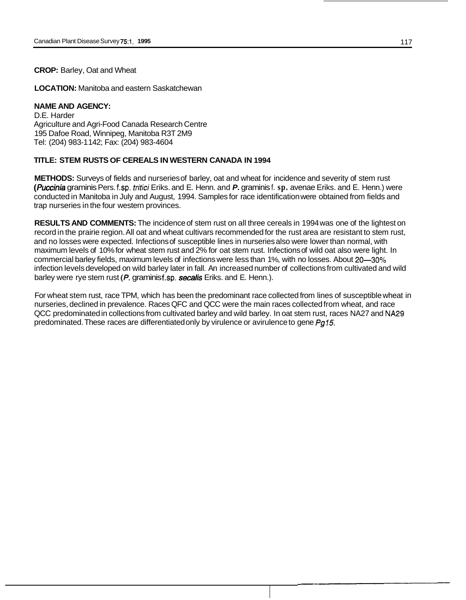#### **CROP:** Barley, Oat and Wheat

**LOCATION:** Manitoba and eastern Saskatchewan

# **NAME AND AGENCY:**

D.E. Harder Agriculture and Agri-Food Canada Research Centre 195 Dafoe Road, Winnipeg, Manitoba R3T 2M9 Tel: (204) 983-1 142; Fax: (204) 983-4604

#### **TITLE: STEM RUSTS OF CEREALS IN WESTERN CANADA IN 1994**

**METHODS:** Surveys of fields and nurseries of barley, oat and wheat for incidence and severity of stem rust *(Puccinia* graminis Pers. f.sp. *tritici* Eriks. and E. Henn. and *P.* graminis f. **sp.** avenae Eriks. and E. Henn.) were conducted in Manitoba in July and August, 1994. Samples for race identification were obtained from fields and trap nurseries in the four western provinces.

**RESULTS AND COMMENTS:** The incidence of stem rust on all three cereals in 1994 was one of the lightest on record in the prairie region. All oat and wheat cultivars recommended for the rust area are resistant to stem rust, and no losses were expected. Infections of susceptible lines in nurseries also were lower than normal, with maximum levels of 10% for wheat stem rust and 2% for oat stem rust. Infections of wild oat also were light. In commercial barley fields, maximum levels of infections were less than 1%, with no losses. About 20–30% infection levels developed on wild barley later in fall. An increased number of collections from cultivated and wild barley were rye stem rust *(P. graminist.sp. secalis* Eriks. and E. Henn.).

For wheat stem rust, race TPM, which has been the predominant race collected from lines of susceptible wheat in nurseries, declined in prevalence. Races QFC and QCC were the main races collected from wheat, and race QCC predominated in collections from cultivated barley and wild barley. In oat stem rust, races NA27 and NA29 predominated. These races are differentiated only by virulence or avirulence to gene *Pg75.*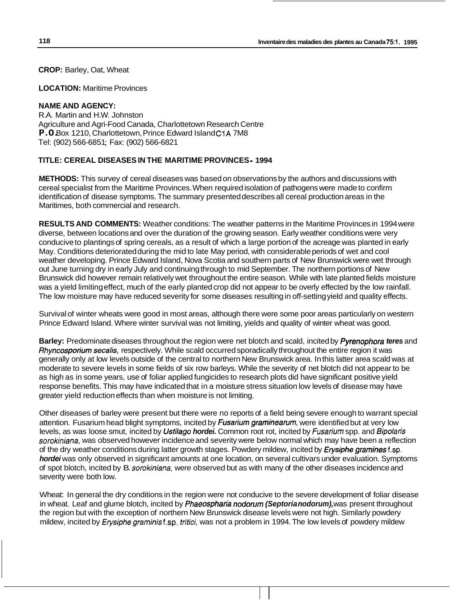**CROP:** Barley, Oat, Wheat

**LOCATION:** Maritime Provinces

# **NAME AND AGENCY:**

R.A. Martin and H.W. Johnston Agriculture and Agri-Food Canada, Charlottetown Research Centre P.O. Box 1210, Charlottetown, Prince Edward Island C1A 7M8 Tel: (902) 566-6851 ; Fax: (902) 566-6821

### **TITLE: CEREAL DISEASES IN THE MARITIME PROVINCES** - **1994**

**METHODS:** This survey of cereal diseases was based on observations by the authors and discussions with cereal specialist from the Maritime Provinces. When required isolation of pathogens were made to confirm identification of disease symptoms. The summary presented describes all cereal production areas in the Maritimes, both commercial and research.

**RESULTS AND COMMENTS:** Weather conditions: The weather patterns in the Maritime Provinces in 1994 were diverse, between locations and over the duration of the growing season. Early weather conditions were very conducive to plantings of spring cereals, as a result of which a large portion of the acreage was planted in early May. Conditions deteriorated during the mid to late May period, with considerable periods of wet and cool weather developing. Prince Edward Island, Nova Scotia and southern parts of New Brunswick were wet through out June turning dry in early July and continuing through to mid September. The northern portions of New Brunswick did however remain relatively wet throughout the entire season. While with late planted fields moisture was a yield limiting effect, much of the early planted crop did not appear to be overly effected by the low rainfall. The low moisture may have reduced severity for some diseases resulting in off-setting yield and quality effects.

Survival of winter wheats were good in most areas, although there were some poor areas particularly on western Prince Edward Island. Where winter survival was not limiting, yields and quality of winter wheat was good.

**Barley:** Predominate diseases throughout the region were net blotch and scald, incited by *Pyrenophora teres* and *Rhyncosporiurn secalis,* respectively. While scald occurred sporadically throughout the entire region it was generally only at low levels outside of the central to northern New Brunswick area. In this latter area scald was at moderate to severe levels in some fields of six row barleys. While the severity of net blotch did not appear to be as high as in some years, use of foliar applied fungicides to research plots did have significant positive yield response benefits. This may have indicated that in a moisture stress situation low levels of disease may have greater yield reduction effects than when moisture is not limiting.

Other diseases of barley were present but there were no reports of a field being severe enough to warrant special attention. Fusarium head blight symptoms, incited by *Fusariurn graminearurn,* were identified but at very low levels, as was loose smut, incited by *Ustilago hordei.* Common root rot, incited by *fusarium* spp. and *Bipolaris sorokiniana,* was observed however incidence and severity were below normal which may have been a reflection of the dry weather conditions during latter growth stages. Powdery mildew, incited by *Erysiphe gramines* f.sp. *hordei* was only observed in significant amounts at one location, on several cultivars under evaluation. Symptoms of spot blotch, incited by B. *sorokiniana,* were observed but as with many of the other diseases incidence and severity were both low.

Wheat: In general the dry conditions in the region were not conducive to the severe development of foliar disease in wheat. Leaf and glume blotch, incited by *Phaeospharia nodorurn (Septoria nodorum),* was present throughout the region but with the exception of northern New Brunswick disease levels were not high. Similarly powdery mildew, incited by *Erysiphe graminis* f.sp. *tritici*, was not a problem in 1994. The low levels of powdery mildew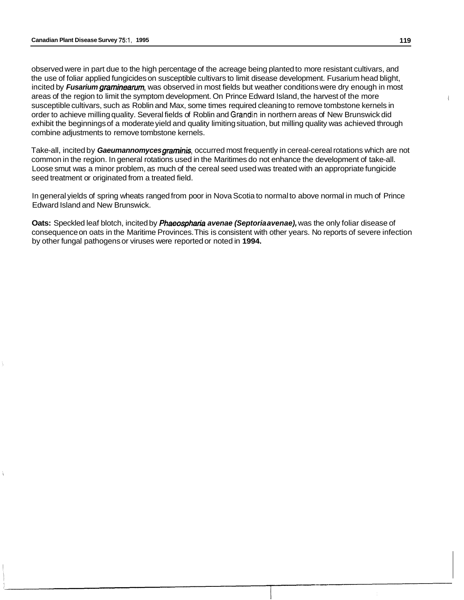observed were in part due to the high percentage of the acreage being planted to more resistant cultivars, and the use of foliar applied fungicides on susceptible cultivars to limit disease development. Fusarium head blight, incited by *Fusarium graminearum,* was observed in most fields but weather conditions were dry enough in most areas of the region to limit the symptom development. On Prince Edward Island, the harvest of the more susceptible cultivars, such as Roblin and Max, some times required cleaning to remove tombstone kernels in order to achieve milling quality. Several fields of Roblin and Grandin in northern areas of New Brunswick did exhibit the beginnings of a moderate yield and quality limiting situation, but milling quality was achieved through combine adjustments to remove tombstone kernels.

Take-all, incited by *Gaeumannomyces graminis,* occurred most frequently in cereal-cereal rotations which are not common in the region. In general rotations used in the Maritimes do not enhance the development of take-all. Loose smut was a minor problem, as much of the cereal seed used was treated with an appropriate fungicide seed treatment or originated from a treated field.

In general yields of spring wheats ranged from poor in Nova Scotia to normal to above normal in much of Prince Edward Island and New Brunswick.

**Oats:** Speckled leaf blotch, incited by *Phaeospharia avenae (Septoria avenae),* was the only foliar disease of consequence on oats in the Maritime Provinces. This is consistent with other years. No reports of severe infection by other fungal pathogens or viruses were reported or noted in **1994.**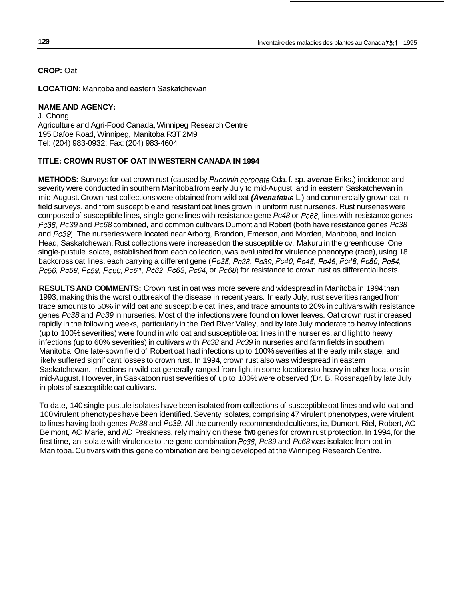**CROP:** Oat

**LOCATION:** Manitoba and eastern Saskatchewan

# **NAME AND AGENCY:**

J. Chong Agriculture and Agri-Food Canada, Winnipeg Research Centre 195 Dafoe Road, Winnipeg, Manitoba R3T 2M9 Tel: (204) 983-0932; Fax: (204) 983-4604

# **TITLE: CROWN RUST OF OAT IN WESTERN CANADA IN 1994**

**METHODS:** Surveys for oat crown rust (caused by *Puccinia coronafa* Cda. f. sp. *avenae* Eriks.) incidence and severity were conducted in southern Manitoba from early July to mid-August, and in eastern Saskatchewan in mid-August. Crown rust collections were obtained from wild oat *(Avena fatua* L.) and commercially grown oat in field surveys, and from susceptible and resistant oat lines grown in uniform rust nurseries. Rust nurseries were composed of susceptible lines, single-gene lines with resistance gene *Pc48* or *Pc68,* lines with resistance genes *Pc38, Pc39* and *Pc68* combined, and common cultivars Dumont and Robert (both have resistance genes *Pc38*  and *Pc39).* The nurseries were located near Arborg, Brandon, Emerson, and Morden, Manitoba, and Indian Head, Saskatchewan. Rust collections were increased on the susceptible cv. Makuru in the greenhouse. One single-pustule isolate, established from each collection, was evaluated for virulence phenotype (race), using 18 backcross oat lines, each carrying a different gene *(Pc35, Pc38, Pc39, Pc40, Pc45, Pc46, Pc48, Pc50, Pc54, Pc56, Pc58, Pc59, Pc60, Pc67, Pc62, Pc63, Pc64,* or *Pc68)* for resistance to crown rust as differential hosts.

**RESULTS AND COMMENTS:** Crown rust in oat was more severe and widespread in Manitoba in 1994 than 1993, making this the worst outbreak of the disease in recent years. In early July, rust severities ranged from trace amounts to 50% in wild oat and susceptible oat lines, and trace amounts to 20% in cultivars with resistance genes *Pc38* and *Pc39* in nurseries. Most of the infections were found on lower leaves. Oat crown rust increased rapidly in the following weeks, particularly in the Red River Valley, and by late July moderate to heavy infections (up to 100% severities) were found in wild oat and susceptible oat lines in the nurseries, and light to heavy infections (up to 60% severities) in cultivars with *Pc38* and *Pc39* in nurseries and farm fields in southern Manitoba. One late-sown field of Robert oat had infections up to 100% severities at the early milk stage, and likely suffered significant losses to crown rust. In 1994, crown rust also was widespread in eastern Saskatchewan. Infections in wild oat generally ranged from light in some locations to heavy in other locations in mid-August. However, in Saskatoon rust severities of up to 100% were observed (Dr. B. Rossnagel) by late July in plots of susceptible oat cultivars.

To date, 140 single-pustule isolates have been isolated from collections of susceptible oat lines and wild oat and 100 virulent phenotypes have been identified. Seventy isolates, comprising 47 virulent phenotypes, were virulent to lines having both genes *Pc38* and *Pc39.* All the currently recommended cultivars, ie, Dumont, Riel, Robert, AC Belmont, AC Marie, and AC Preakness, rely mainly on these **two** genes for crown rust protection. In 1994, for the first time, an isolate with virulence to the gene combination *Pc38, Pc39* and *Pc68* was isolated from oat in Manitoba. Cultivars with this gene combination are being developed at the Winnipeg Research Centre.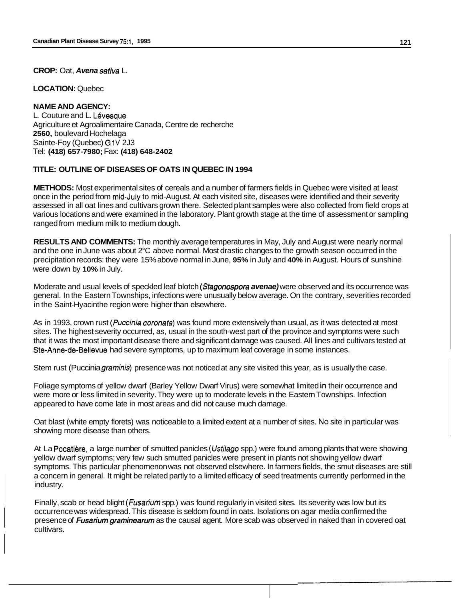#### **CROP:** Oat, *Avena sativa* L.

**LOCATION:** Quebec

#### **NAME AND AGENCY:**

L. Couture and L. Lévesque Agriculture et Agroalimentaire Canada, Centre de recherche **2560,** boulevard Hochelaga Sainte-Foy (Quebec) G1V 2J3 Tel: **(41 8) 657-7980;** Fax: **(41 8) 648-2402** 

# **TITLE: OUTLINE OF DISEASES OF OATS IN QUEBEC IN 1994**

**METHODS:** Most experimental sites of cereals and a number of farmers fields in Quebec were visited at least once in the period from mid-July to mid-August. At each visited site, diseases were identified and their severity assessed in all oat lines and cultivars grown there. Selected plant samples were also collected from field crops at various locations and were examined in the laboratory. Plant growth stage at the time of assessment or sampling ranged from medium milk to medium dough.

**RESULTS AND COMMENTS:** The monthly average temperatures in May, July and August were nearly normal and the one in June was about 2°C above normal. Most drastic changes to the growth season occurred in the precipitation records: they were 15% above normal in June, **95%** in July and **40%** in August. Hours of sunshine were down by **10%** in July.

Moderate and usual levels of speckled leaf blotch *(Stagonospora avenae)* were observed and its occurrence was general. In the Eastern Townships, infections were unusually below average. On the contrary, severities recorded in the Saint-Hyacinthe region were higher than elsewhere.

As in 1993, crown rust *(Puccinia coronafa)* was found more extensively than usual, as it was detected at most sites. The highest severity occurred, as, usual in the south-west part of the province and symptoms were such that it was the most important disease there and significant damage was caused. All lines and cultivars tested at Ste-Anne-de-Bellevue had severe symptoms, up to maximum leaf coverage in some instances.

Stem rust (Puccinia *graminis)* presence was not noticed at any site visited this year, as is usually the case.

Foliage symptoms of yellow dwarf (Barley Yellow Dwarf Virus) were somewhat limited in their occurrence and were more or less limited in severity. They were up to moderate levels in the Eastern Townships. Infection appeared to have come late in most areas and did not cause much damage.

Oat blast (white empty florets) was noticeable to a limited extent at a number of sites. **NO** site in particular was showing more disease than others.

At La Pocatière, a large number of smutted panicles *(Ustilago spp.)* were found among plants that were showing yellow dwarf symptoms; very few such smutted panicles were present in plants not showing yellow dwarf symptoms. This particular phenomenon was not observed elsewhere. In farmers fields, the smut diseases are still a concern in general. It might be related partly to a limited efficacy of seed treatments currently performed in the industry.

Finally, scab or head blight *(Fusarium* spp.) was found regularly in visited sites. Its severity was low but its occurrence was widespread. This disease is seldom found in oats. Isolations on agar media confirmed the presence of *Fusarium graminearurn* as the causal agent. More scab was observed in naked than in covered oat cultivars.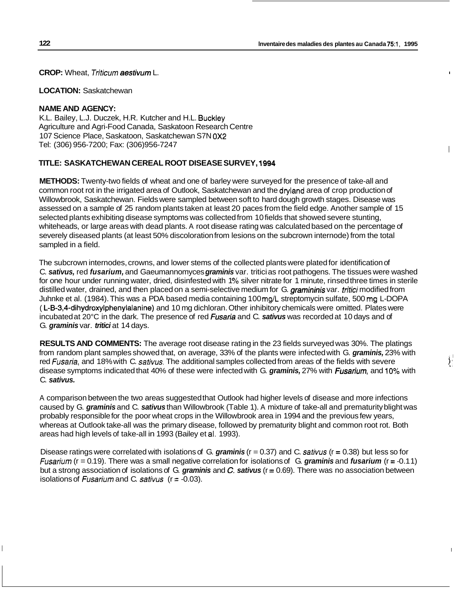I

 $\sum_{i=1}^{n}$ 

**CROP:** Wheat, Triticum *aestivum* L. I

#### **LOCATION:** Saskatchewan

#### **NAME AND AGENCY:**

K.L. Bailey, L.J. Duczek, H.R. Kutcher and H.L. Buckley Agriculture and Agri-Food Canada, Saskatoon Research Centre 107 Science Place, Saskatoon, Saskatchewan S7N OX2 Tel: (306) 956-7200; Fax: (306)956-7247

# **TITLE: SASKATCHEWAN CEREAL ROOT DISEASE SURVEY, 1994**

**METHODS:** Twenty-two fields of wheat and one of barley were surveyed for the presence of take-all and common root rot in the irrigated area of Outlook, Saskatchewan and the dryland area of crop production of Willowbrook, Saskatchewan. Fields were sampled between soft to hard dough growth stages. Disease was assessed on a sample of 25 random plants taken at least 20 paces from the field edge. Another sample of 15 selected plants exhibiting disease symptoms was collected from 10 fields that showed severe stunting, whiteheads, or large areas with dead plants. A root disease rating was calculated based on the percentage of severely diseased plants (at least 50% discoloration from lesions on the subcrown internode) from the total sampled in a field.

The subcrown internodes, crowns, and lower stems of the collected plants were plated for identification of C. *sativus,* red *fusarium,* and Gaeumannomyces *graminis* var. tritici as root pathogens. The tissues were washed for one hour under running water, dried, disinfested with 1% silver nitrate for 1 minute, rinsed three times in sterile distilled water, drained, and then placed on a semi-selective medium for G. *gramininis* var. tritici modified from Juhnke et al. (1984). This was a PDA based media containing 100 **mg/L** streptomycin sulfate, 500 mg L-DOPA ( **L-B-3,4-dihydroxylphenylalanine)** and 10 mg dichloran. Other inhibitory chemicals were omitted. Plates were incubated at 20°C in the dark. The presence of red *Fusaria* and C. *sativus* was recorded at 10 days and of G. graminis var. tritici at 14 days.

**RESULTS AND COMMENTS:** The average root disease rating in the 23 fields surveyed was 30%. The platings from random plant samples showed that, on average, 33% of the plants were infected with G. *graminis,* 23% with red *fusaria,* and 18% with C. *sativus.* The additional samples collected from areas of the fields with severe disease symptoms indicated that 40% of these were infected with G. *graminis,* 27% with *Fusarium,* and **10%** with C. *sativus.* 

A comparison between the two areas suggested that Outlook had higher levels of disease and more infections caused by G. *graminis* and C. *sativus* than Willowbrook (Table 1). A mixture of take-all and prematurity blight was probably responsible for the poor wheat crops in the Willowbrook area in 1994 and the previous few years, whereas at Outlook take-all was the primary disease, followed by prematurity blight and common root rot. Both areas had high levels of take-all in 1993 (Bailey et al. 1993).

Disease ratings were correlated with isolations of G. *graminis* (r = 0.37) and C. *sativus* (r = 0.38) but less so for *Fusarium* (r = 0.1 9). There was a small negative correlation for isolations of G. *graminis* and *fusarium* (r = -0.1 1) but a strong association of isolations of G. *graminis* and *C. sativus* (r = 0.69). There was no association between isolations of *fusarium* and C. *sativus* (r = -0.03).

I I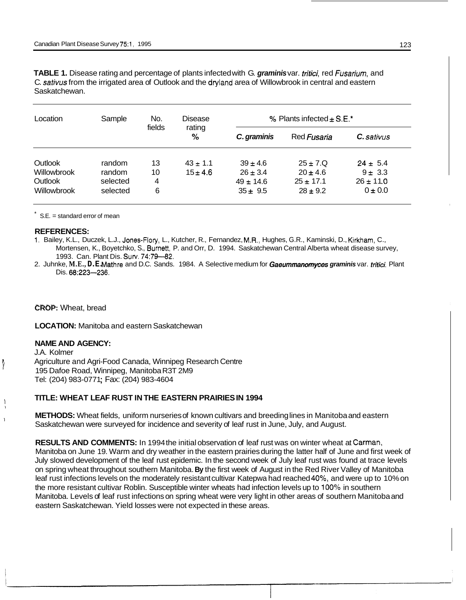**TABLE 1.** Disease rating and percentage of plants infected with G. *graminis* var. *fritici,* red *Fusarium,* and C. *sativus* from the irrigated area of Outlook and the dryland area of Willowbrook in central and eastern Saskatchewan.

| Location           | Sample   | No.<br>fields | Disease<br>rating<br>% | % Plants infected $\pm$ S.E.* |               |                   |  |
|--------------------|----------|---------------|------------------------|-------------------------------|---------------|-------------------|--|
|                    |          |               |                        | C. graminis                   | Red Fusaria   | <b>C.</b> sativus |  |
| Outlook            | random   | 13            | $43 \pm 1.1$           | $39 \pm 4.6$                  | $25 \pm 7.0$  | $24 \pm 5.4$      |  |
| Willowbrook        | random   | 10            | $15 \pm 4.6$           | $26 \pm 3.4$                  | $20 \pm 4.6$  | $9 \pm 3.3$       |  |
| Outlook            | selected | 4             |                        | $49 \pm 14.6$                 | $25 \pm 17.1$ | $26 \pm 11.0$     |  |
| <b>Willowbrook</b> | selected | 6             |                        | $35 \pm 9.5$                  | $28 \pm 9.2$  | $0 \pm 0.0$       |  |

 $S.E. = standard error of mean$ 

#### **REFERENCES:**

- **1.** Bailey, K.L., Duczek, L.J., Jones-Flory, L., Kutcher, R., Fernandez, M.R., Hughes, G.R., Kaminski, D., Kirkharn, C., Mortensen, K., Boyetchko, S., Burnett, P. and Orr, D. 1994. Saskatchewan Central Alberta wheat disease survey, 1993. Can. Plant Dis. **Surv.** 74:79-82.
- Dis. 68:223-236. 2. Juhnke, **M.E., D.E.** Mathre and D.C. Sands. 1984. A Selective medium for *Gaeummanomyces graminis* var. *fritici.* Plant

**CROP:** Wheat, bread

**LOCATION:** Manitoba and eastern Saskatchewan

#### **NAME AND AGENCY:**

1

I I I

J.A. Kolmer Agriculture and Agri-Food Canada, Winnipeg Research Centre 195 Dafoe Road, Winnipeg, Manitoba R3T 2M9 Tel: (204) 983-0771 ; Fax: (204) 983-4604

#### **TITLE: WHEAT LEAF RUST IN THE EASTERN PRAIRIES IN 1994**

**METHODS:** Wheat fields, uniform nurseries of known cultivars and breeding lines in Manitoba and eastern Saskatchewan were surveyed for incidence and severity of leaf rust in June, July, and August.

**RESULTS AND COMMENTS:** In 1994 the initial observation of leaf rust was on winter wheat at Carman, Manitoba on June 19. Warm and dry weather in the eastern prairies during the latter half of June and first week of July slowed development of the leaf rust epidemic. In the second week of July leaf rust was found at trace levels on spring wheat throughout southern Manitoba. **By** the first week of August in the Red River Valley of Manitoba leaf rust infections levels on the moderately resistant cultivar Katepwa had reached 40%, and were up to 10% on the more resistant cultivar Roblin. Susceptible winter wheats had infection levels up to 100% in southern Manitoba. Levels of leaf rust infections on spring wheat were very light in other areas of southern Manitoba and eastern Saskatchewan. Yield losses were not expected in these areas.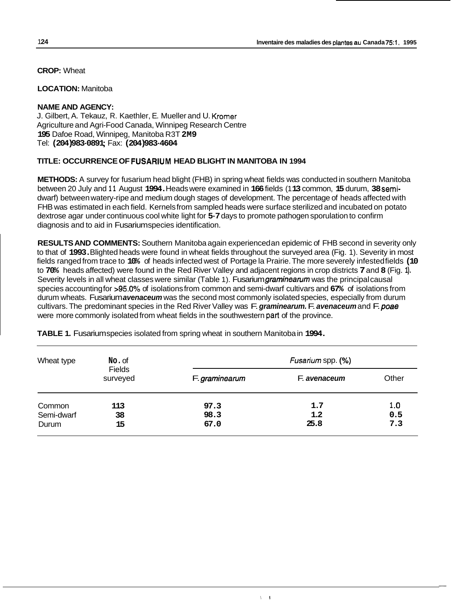**CROP:** Wheat

**LOCATION:** Manitoba

# **NAME AND AGENCY:**

J. Gilbert, A. Tekauz, R. Kaethler, E. Mueller and U. Kromer Agriculture and Agri-Food Canada, Winnipeg Research Centre **195** Dafoe Road, Winnipeg, Manitoba R3T **2M9**  Tel: **(204) 983-0891** ; Fax: **(204) 983-4604** 

# **TITLE: OCCURRENCE OF FUSARIUM HEAD BLIGHT IN MANITOBA IN 1994**

**METHODS:** A survey for fusarium head blight (FHB) in spring wheat fields was conducted in southern Manitoba between 20 July and **1 1** August **1994.** Heads were examined in **166** fields (1 **13** common, **15** durum, **38** semidwarf) between watery-ripe and medium dough stages of development. The percentage of heads affected with FHB was estimated in each field. Kernels from sampled heads were surface sterilized and incubated on potato dextrose agar under continuous cool white light for **5-7** days to promote pathogen sporulation to confirm diagnosis and to aid in Fusarium species identification.

**RESULTS AND COMMENTS:** Southern Manitoba again experienced an epidemic of FHB second in severity only to that of **1993.** Blighted heads were found in wheat fields throughout the surveyed area (Fig. 1). Severity in most fields ranged from trace to **10%** of heads infected west of Portage la Prairie. The more severely infested fields **(10**  to **70%** heads affected) were found in the Red River Valley and adjacent regions in crop districts **7** and **8** (Fig. **1).**  Severity levels in all wheat classes were similar (Table 1). Fusarium *graminearurn* was the principal causal species accounting for **>95.0%** of isolations from common and semi-dwarf cultivars and **67%** of isolations from durum wheats. Fusarium *avenaceum* was the second most commonly isolated species, especially from durum cultivars. The predominant species in the Red River Valley was F. *graminearum.* F. *avenaceum* and F. *poae*  were more commonly isolated from wheat fields in the southwestern part of the province.

| Wheat type | No. of                    | Fusarium spp. (%) |              |       |  |  |
|------------|---------------------------|-------------------|--------------|-------|--|--|
|            | <b>Fields</b><br>surveyed | F. graminearum    | F. avenaceum | Other |  |  |
| Common     | 113                       | 97.3              | 1.7          | 1.0   |  |  |
| Semi-dwarf | 38                        | 98.3              | 1.2          | 0.5   |  |  |
| Durum      | 15                        | 67.0              | 25.8         | 7.3   |  |  |

**TABLE 1.** Fusarium species isolated from spring wheat in southern Manitoba in **1994.**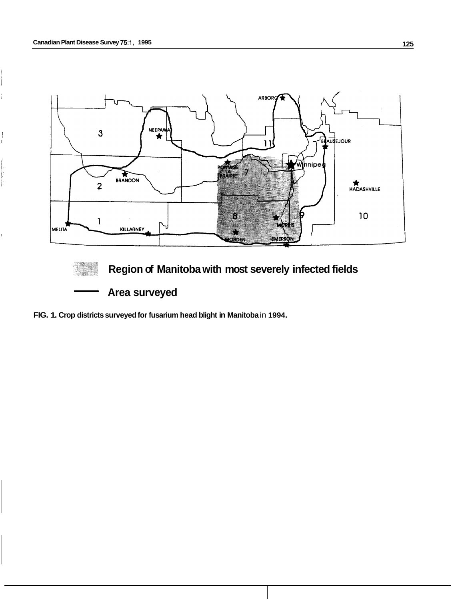!

í

ii<br>it





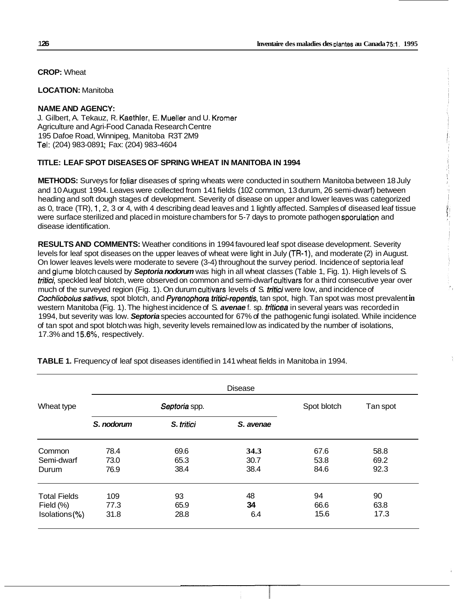**CROP:** Wheat

**LOCATION:** Manitoba

### **NAME AND AGENCY:**

J. Gilbert, A. Tekauz, R. Kaethler, E. Mueller and U. Kromer Agriculture and Agri-Food Canada Research Centre 195 Dafoe Road, Winnipeg, Manitoba R3T 2M9 Tel: (204) 983-0891; Fax: (204) 983-4604

# **TITLE: LEAF SPOT DISEASES OF SPRING WHEAT IN MANITOBA IN 1994**

**METHODS:** Surveys for foliar diseases of spring wheats were conducted in southern Manitoba between 18 July and 10 August 1994. Leaves were collected from 141 fields (102 common, 13 durum, 26 semi-dwarf) between heading and soft dough stages of development. Severity of disease on upper and lower leaves was categorized as 0, trace (TR), 1, 2, 3 or 4, with 4 describing dead leaves and 1 lightly affected. Samples of diseased leaf tissue were surface sterilized and placed in moisture chambers for 5-7 days to promote pathogen sporulation and disease identification.

**RESULTS AND COMMENTS:** Weather conditions in 1994 favoured leaf spot disease development. Severity levels for leaf spot diseases on the upper leaves of wheat were light in July (TR-l), and moderate (2) in August. On lower leaves levels were moderate to severe (3-4) throughout the survey period. Incidence of septoria leaf and glume blotch caused by *Septoria nodorum* was high in all wheat classes (Table 1, Fig. 1). High levels of S. *rririci,* speckled leaf blotch, were observed on common and semi-dwarf cultivars for a third consecutive year over much of the surveyed region (Fig. 1). On durum cultivars levels of S. *rririci* were low, and incidence of *Cochliobolus sativus,* spot blotch, and *Pyrenophora tritici-repentis,* tan spot, high. Tan spot was most prevalent **in**  western Manitoba (Fig. 1). The highest incidence of S. *avenae* f. sp. *triticea* in several years was recorded in 1994, but severity was low. *Septoria* species accounted for 67% of the pathogenic fungi isolated. While incidence of tan spot and spot blotch was high, severity levels remained low as indicated by the number of isolations, 17.3% and 15.6%, respectively.

|                            | <b>Disease</b> |               |              |              |              |  |  |  |  |
|----------------------------|----------------|---------------|--------------|--------------|--------------|--|--|--|--|
| Wheat type                 |                | Septoria spp. | Spot blotch  | Tan spot     |              |  |  |  |  |
|                            | S. nodorum     | S. tritici    | S. avenae    |              |              |  |  |  |  |
| Common                     | 78.4           | 69.6          | 34.3         | 67.6         | 58.8         |  |  |  |  |
| Semi-dwarf<br>Durum        | 73.0<br>76.9   | 65.3<br>38.4  | 30.7<br>38.4 | 53.8<br>84.6 | 69.2<br>92.3 |  |  |  |  |
| <b>Total Fields</b>        | 109            | 93            | 48           | 94           | 90           |  |  |  |  |
| Field (%)<br>Isolations(%) | 77.3<br>31.8   | 65.9<br>28.8  | 34<br>6.4    | 66.6<br>15.6 | 63.8<br>17.3 |  |  |  |  |

**TABLE 1.** Frequency of leaf spot diseases identified in 141 wheat fields in Manitoba in 1994.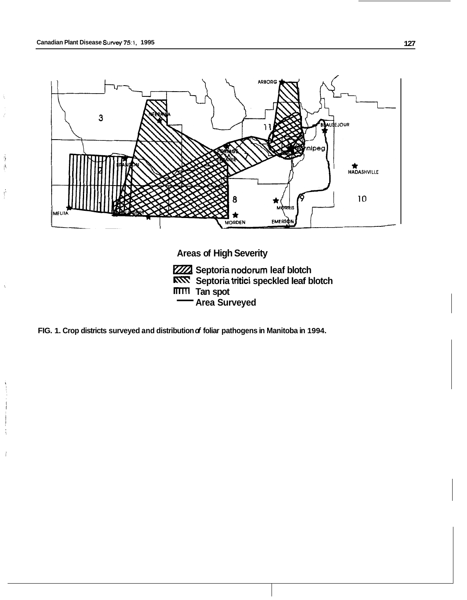Ą  $\vert \langle$ 

 $\hat{\mathcal{C}}$ 



**Septoria nodorum leaf blotch Septoria tritici speckled leaf blotch TTTTI** Tan spot<br> **Area Surveyed** Areas of High Sever<br>
<u>WAX</u> Septoria nodoru<br> **ARNY** Septoria tritici s<br> **ITITII** Tan spot<br> **Area Surveyed** 

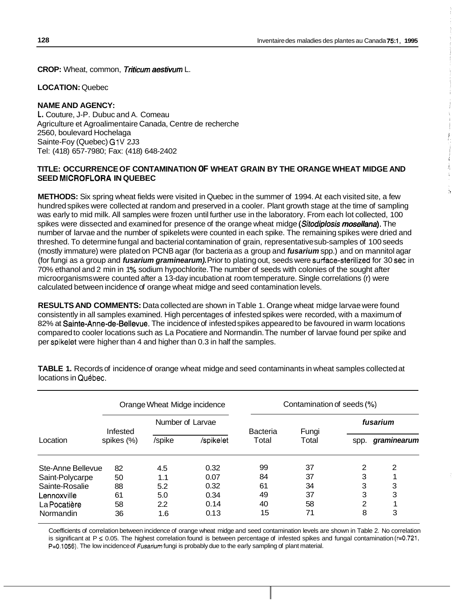**CROP:** Wheat, common, *Triticum aesfivum* L.

**LOCATION:** Quebec

# **NAME AND AGENCY:**

**L.** Couture, J-P. Dubuc and A. Comeau Agriculture et Agroalimentaire Canada, Centre de recherche 2560, boulevard Hochelaga Sainte-Foy (Quebec) G1V 2J3 Tel: (418) 657-7980; Fax: (418) 648-2402

# **TITLE: OCCURRENCE OF CONTAMINATION OF WHEAT GRAIN BY THE ORANGE WHEAT MIDGE AND SEED MICROFLORA IN QUEBEC**

**METHODS:** Six spring wheat fields were visited in Quebec in the summer of 1994. At each visited site, a few hundred spikes were collected at random and preserved in a cooler. Plant growth stage at the time of sampling was early to mid milk. All samples were frozen until further use in the laboratory. From each lot collected, 100 spikes were dissected and examined for presence of the orange wheat midge *(Sitodiplosis mosellana).* The number of larvae and the number of spikelets were counted in each spike. The remaining spikes were dried and threshed. To determine fungal and bacterial contamination of grain, representative sub-samples of 100 seeds (mostly immature) were plated on PCNB agar (for bacteria as a group and *fusarium* spp.) and on mannitol agar (for fungi as a group and *fusarium graminearum).* Prior to plating out, seeds were surface-sterilized for 30 sec in 70% ethanol and 2 min in 1% sodium hypochlorite. The number of seeds with colonies of the sought after microorganisms were counted after a 13-day incubation at room temperature. Single correlations (r) were calculated between incidence of orange wheat midge and seed contamination levels.

**RESULTS AND COMMENTS:** Data collected are shown in Table 1. Orange wheat midge larvae were found consistently in all samples examined. High percentages of infested spikes were recorded, with a maximum of 82% at **Sainte-Anne-de-Bellevue.** The incidence of infested spikes appeared to be favoured in warm locations compared to cooler locations such as La Pocatiere and Normandin. The number of larvae found per spike and per spikelet were higher than 4 and higher than 0.3 in half the samples.

|                   | Orange Wheat Midge incidence |                  |           | Contamination of seeds (%) |                |      |             |  |
|-------------------|------------------------------|------------------|-----------|----------------------------|----------------|------|-------------|--|
|                   | Infested                     | Number of Larvae |           |                            |                |      | fusarium    |  |
| Location          | spikes (%)                   | /spike           | /spikelet | <b>Bacteria</b><br>Total   | Fungi<br>Total | spp. | graminearum |  |
| Ste-Anne Bellevue | 82                           | 4.5              | 0.32      | 99                         | 37             | 2    | 2           |  |
| Saint-Polycarpe   | 50                           | 1.1              | 0.07      | 84                         | 37             | 3    |             |  |
| Sainte-Rosalie    | 88                           | 5.2              | 0.32      | 61                         | 34             | 3    | 3           |  |
| Lennoxville       | 61                           | 5.0              | 0.34      | 49                         | 37             | 3    | 3           |  |
| La Pocatière      | 58                           | 2.2              | 0.14      | 40                         | 58             | 2    |             |  |
| Normandin         | 36                           | 1.6              | 0.13      | 15                         | 71             | 8    | 3           |  |

**TABLE 1.** Records of incidence of orange wheat midge and seed contaminants in wheat samples collected at locations in Québec.

Coefficients of correlation between incidence of orange wheat midge and seed contamination levels are shown in Table 2. No correlation is significant at P *5* 0.05. The highest correlation found is between percentage of infested spikes and fungal contamination (r=0.721, **P=0.1056).** The low incidence of *Fusarium* fungi is probably due to the early sampling of plant material.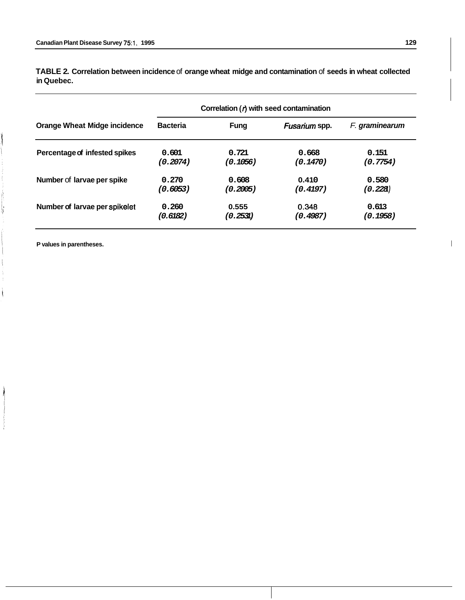**Correlation** *(0* **with seed contamination Orange Wheat Midge incidence Bacteria** *Fung Fusarium* **spp. F. graminearum Percentage of infested spikes 0.601 0.721 0.668 0.151**  *(0.2074) (0.1056) (0.1470) (0.7754)*  **Number of larvae per spike**  $0.270$  **0.608 0.410 0.580** *(0.6053) (0.2005) (0.4197) (0.228 1)*  **Number of larvae per spikelet 0.260 0.555 0.348 0.613 0.613 (0.6182) (0.795) 195** *(0.6 182) (0.253 1) (0.4987) (0.1958)* 

**TABLE 2. Correlation between incidence** of **orange wheat midge and contamination** of **seeds in wheat collected in Quebec.** 

**P values in parentheses.** I

ķ

 $\overline{\phantom{a}}$